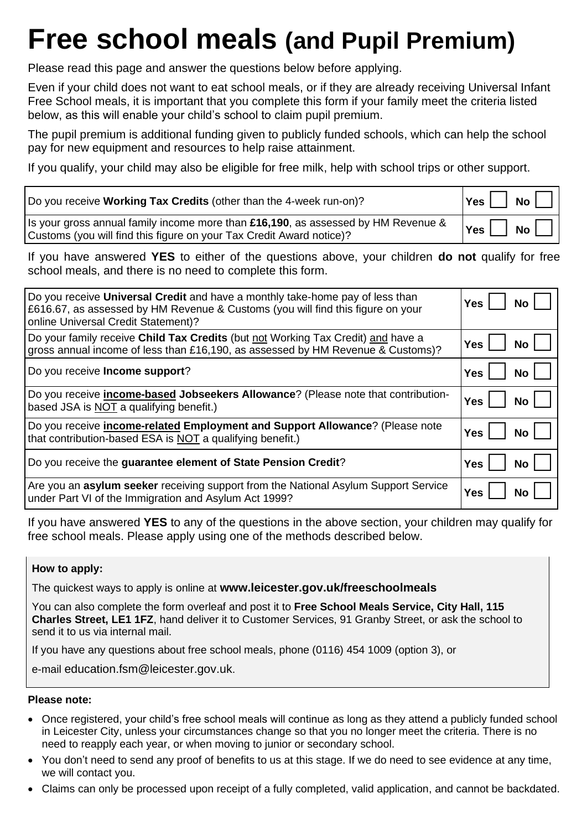# **Free school meals (and Pupil Premium)**

Please read this page and answer the questions below before applying.

Even if your child does not want to eat school meals, or if they are already receiving Universal Infant Free School meals, it is important that you complete this form if your family meet the criteria listed below, as this will enable your child's school to claim pupil premium.

The pupil premium is additional funding given to publicly funded schools, which can help the school pay for new equipment and resources to help raise attainment.

If you qualify, your child may also be eligible for free milk, help with school trips or other support.

| Do you receive Working Tax Credits (other than the 4-week run-on)?                                                                                        | $Yes$ No $\Box$              |
|-----------------------------------------------------------------------------------------------------------------------------------------------------------|------------------------------|
| Is your gross annual family income more than £16,190, as assessed by HM Revenue &<br>Customs (you will find this figure on your Tax Credit Award notice)? | $\gamma$ es $\Box$ No $\Box$ |

If you have answered **YES** to either of the questions above, your children **do not** qualify for free school meals, and there is no need to complete this form.

| Do you receive Universal Credit and have a monthly take-home pay of less than<br>£616.67, as assessed by HM Revenue & Customs (you will find this figure on your<br>online Universal Credit Statement)? | Yes<br>No.        |
|---------------------------------------------------------------------------------------------------------------------------------------------------------------------------------------------------------|-------------------|
| Do your family receive Child Tax Credits (but not Working Tax Credit) and have a                                                                                                                        | <b>Yes</b>        |
| gross annual income of less than £16,190, as assessed by HM Revenue & Customs)?                                                                                                                         | No                |
| Do you receive Income support?                                                                                                                                                                          | <b>Yes</b><br>No. |
| Do you receive <i>income-based Jobseekers Allowance</i> ? (Please note that contribution-                                                                                                               | Yes               |
| based JSA is NOT a qualifying benefit.)                                                                                                                                                                 | No l              |
| Do you receive <i>income-related</i> Employment and Support Allowance? (Please note                                                                                                                     | <b>Yes</b>        |
| that contribution-based ESA is NOT a qualifying benefit.)                                                                                                                                               | No.               |
| Do you receive the guarantee element of State Pension Credit?                                                                                                                                           | Yes<br>No.        |
| Are you an <b>asylum seeker</b> receiving support from the National Asylum Support Service                                                                                                              | Yes               |
| under Part VI of the Immigration and Asylum Act 1999?                                                                                                                                                   | No.               |

If you have answered **YES** to any of the questions in the above section, your children may qualify for free school meals. Please apply using one of the methods described below.

### **How to apply:**

The quickest ways to apply is online at **[www.leicester.gov.uk/freeschoolmeals](http://www.leicester.gov.uk/freeschoolmeals)**

You can also complete the form overleaf and post it to **Free School Meals Service, City Hall, 115 Charles Street, LE1 1FZ**, hand deliver it to Customer Services, 91 Granby Street, or ask the school to send it to us via internal mail.

If you have any questions about free school meals, phone (0116) 454 1009 (option 3), or

e-mail [education.fsm@leicester.gov.uk](mailto:education.fsm@leicester.gov.uk).

#### **Please note:**

- Once registered, your child's free school meals will continue as long as they attend a publicly funded school in Leicester City, unless your circumstances change so that you no longer meet the criteria. There is no need to reapply each year, or when moving to junior or secondary school.
- You don't need to send any proof of benefits to us at this stage. If we do need to see evidence at any time, we will contact you.
- Claims can only be processed upon receipt of a fully completed, valid application, and cannot be backdated.